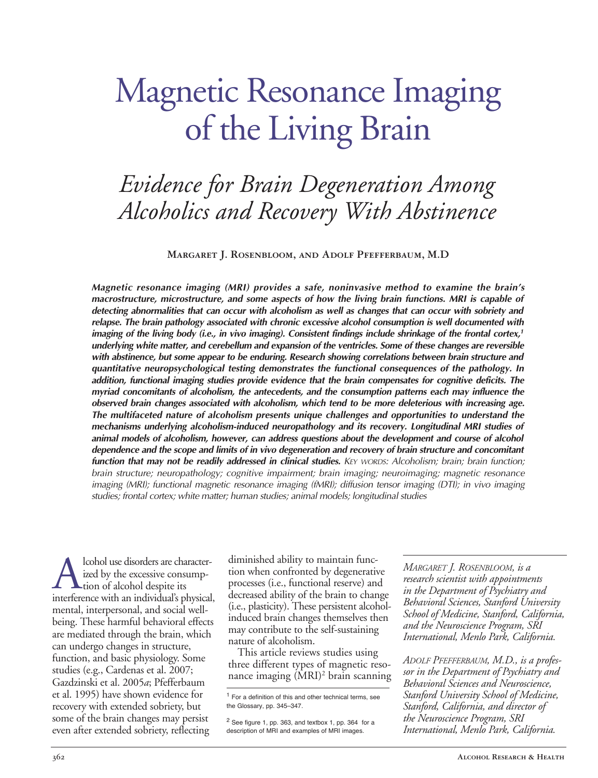# Magnetic Resonance Imaging of the Living Brain

# *Evidence for Brain Degeneration Among Alcoholics and Recovery With Abstinence*

**Margaret J. Rosenbloom, and Adolf Pfefferbaum, M.D**

*Magnetic resonance imaging (MRI) provides a safe, noninvasive method to examine the brain's macrostructure, microstructure, and some aspects of how the living brain functions. MRI is capable of detecting abnormalities that can occur with alcoholism as well as changes that can occur with sobriety and relapse. The brain pathology associated with chronic excessive alcohol consumption is well documented with imaging of the living body (i.e., in vivo imaging). Consistent findings include shrinkage of the frontal cortex,<sup>1</sup> underlying white matter, and cerebellum and expansion of the ventricles. Some of these changes are reversible with abstinence, but some appear to be enduring. Research showing correlations between brain structure and quantitative neuropsychological testing demonstrates the functional consequences of the pathology. In addition, functional imaging studies provide evidence that the brain compensates for cognitive deficits. The myriad concomitants of alcoholism, the antecedents, and the consumption patterns each may influence the observed brain changes associated with alcoholism, which tend to be more deleterious with increasing age. The multifaceted nature of alcoholism presents unique challenges and opportunities to understand the mechanisms underlying alcoholisminduced neuropathology and its recovery. Longitudinal MRI studies of animal models of alcoholism, however, can address questions about the development and course of alcohol dependence and the scope and limits of in vivo degeneration and recovery of brain structure and concomitant function that may not be readily addressed in clinical studies. KEY WORDS: Alcoholism; brain; brain function; brain structure; neuropathology; cognitive impairment; brain imaging; neuroimaging; magnetic resonance imaging (MRI); functional magnetic resonance imaging (fMRI); diffusion tensor imaging (DTI); in vivo imaging studies; frontal cortex; white matter; human studies; animal models; longitudinal studies*

A lcohol use disorders are character-<br>ized by the excessive consump-<br>interference with an individual's physical ized by the excessive consump- $\blacktriangle$ tion of alcohol despite its interference with an individual's physical, mental, interpersonal, and social wellbeing. These harmful behavioral effects are mediated through the brain, which can undergo changes in structure, function, and basic physiology. Some studies (e.g., Cardenas et al. 2007; Gazdzinski et al. 2005*a*; Pfefferbaum et al. 1995) have shown evidence for recovery with extended sobriety, but some of the brain changes may persist even after extended sobriety, reflecting

diminished ability to maintain function when confronted by degenerative processes (i.e., functional reserve) and decreased ability of the brain to change (i.e., plasticity). These persistent alcoholinduced brain changes themselves then may contribute to the self-sustaining nature of alcoholism.

This article reviews studies using three different types of magnetic resonance imaging (MRI)<sup>2</sup> brain scanning *MARGARET J. ROSENBLOOM, is a research scientist with appointments in the Department of Psychiatry and Behavioral Sciences, Stanford University School of Medicine, Stanford, California, and the Neuroscience Program, SRI International, Menlo Park, California.*

*ADOLF PFEFFERBAUM, M.D., is a professor in the Department of Psychiatry and Behavioral Sciences and Neuroscience, Stanford University School of Medicine, Stanford, California, and director of the Neuroscience Program, SRI International, Menlo Park, California.*

<sup>1</sup> For a definition of this and other technical terms, see the Glossary, pp. 345–347.

 $2$  See figure 1, pp. 363, and textbox 1, pp. 364 for a description of MRI and examples of MRI images.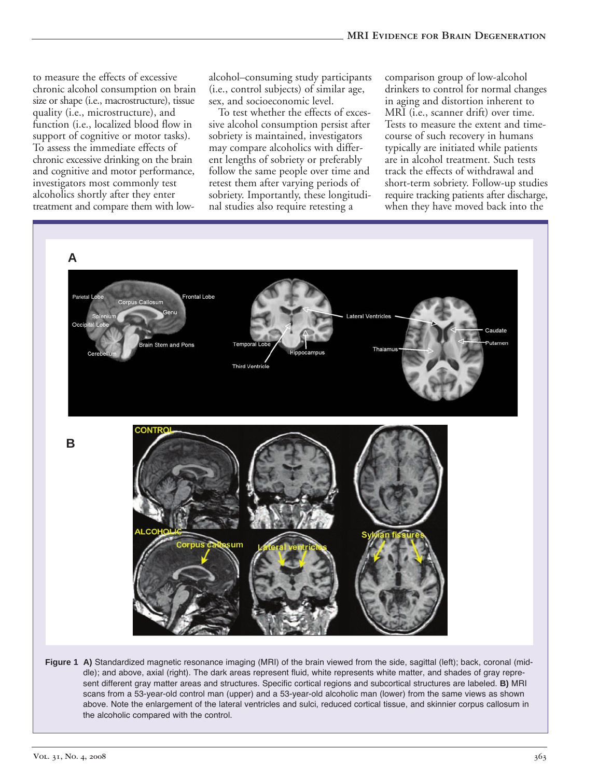to measure the effects of excessive chronic alcohol consumption on brain size or shape (i.e., macrostructure), tissue quality (i.e., microstructure), and function (i.e., localized blood flow in support of cognitive or motor tasks). To assess the immediate effects of chronic excessive drinking on the brain and cognitive and motor performance, investigators most commonly test alcoholics shortly after they enter treatment and compare them with lowalcohol–consuming study participants (i.e., control subjects) of similar age, sex, and socioeconomic level.

To test whether the effects of excessive alcohol consumption persist after sobriety is maintained, investigators may compare alcoholics with different lengths of sobriety or preferably follow the same people over time and retest them after varying periods of sobriety. Importantly, these longitudinal studies also require retesting a

comparison group of low-alcohol drinkers to control for normal changes in aging and distortion inherent to MRI (i.e., scanner drift) over time. Tests to measure the extent and timecourse of such recovery in humans typically are initiated while patients are in alcohol treatment. Such tests track the effects of withdrawal and short-term sobriety. Follow-up studies require tracking patients after discharge, when they have moved back into the

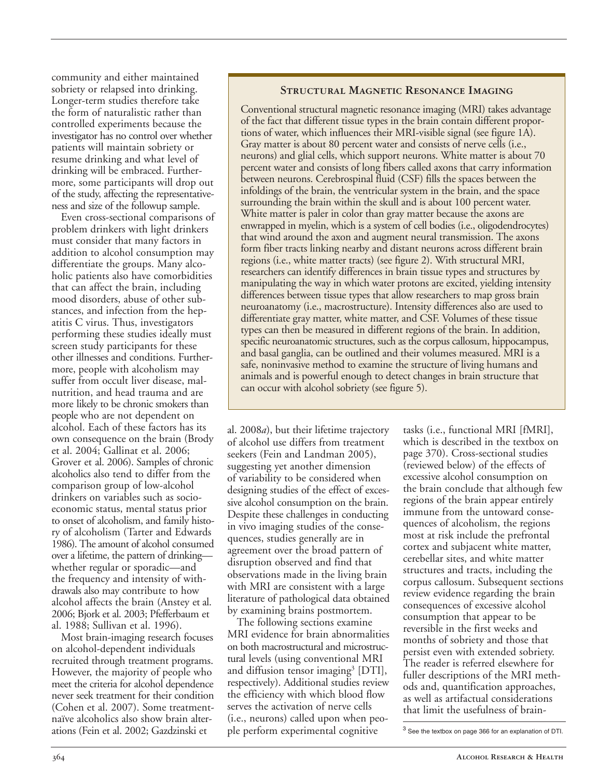community and either maintained sobriety or relapsed into drinking. Longer-term studies therefore take the form of naturalistic rather than controlled experiments because the investigator has no control over whether patients will maintain sobriety or resume drinking and what level of drinking will be embraced. Furthermore, some participants will drop out of the study, affecting the representativeness and size of the followup sample.

Even cross-sectional comparisons of problem drinkers with light drinkers must consider that many factors in addition to alcohol consumption may differentiate the groups. Many alcoholic patients also have comorbidities that can affect the brain, including mood disorders, abuse of other substances, and infection from the hepatitis C virus. Thus, investigators performing these studies ideally must screen study participants for these other illnesses and conditions. Furthermore, people with alcoholism may suffer from occult liver disease, malnutrition, and head trauma and are more likely to be chronic smokers than people who are not dependent on alcohol. Each of these factors has its own consequence on the brain (Brody et al. 2004; Gallinat et al. 2006; Grover et al. 2006). Samples of chronic alcoholics also tend to differ from the comparison group of low-alcohol drinkers on variables such as socioeconomic status, mental status prior to onset of alcoholism, and family history of alcoholism (Tarter and Edwards 1986). The amount of alcohol consumed over a lifetime, the pattern of drinking whether regular or sporadic—and the frequency and intensity of withdrawals also may contribute to how alcohol affects the brain (Anstey et al. 2006; Bjork et al. 2003; Pfefferbaum et al. 1988; Sullivan et al. 1996).

Most brain-imaging research focuses on alcohol-dependent individuals recruited through treatment programs. However, the majority of people who meet the criteria for alcohol dependence never seek treatment for their condition (Cohen et al. 2007). Some treatmentnaïve alcoholics also show brain alterations (Fein et al. 2002; Gazdzinski et

#### **Structural Magnetic Resonance Imaging**

Conventional structural magnetic resonance imaging (MRI) takes advantage of the fact that different tissue types in the brain contain different proportions of water, which influences their MRI-visible signal (see figure 1A). Gray matter is about 80 percent water and consists of nerve cells (i.e., neurons) and glial cells, which support neurons. White matter is about 70 percent water and consists of long fibers called axons that carry information between neurons. Cerebrospinal fluid (CSF) fills the spaces between the infoldings of the brain, the ventricular system in the brain, and the space surrounding the brain within the skull and is about 100 percent water. White matter is paler in color than gray matter because the axons are enwrapped in myelin, which is a system of cell bodies (i.e., oligodendrocytes) that wind around the axon and augment neural transmission. The axons form fiber tracts linking nearby and distant neurons across different brain regions (i.e., white matter tracts) (see figure 2). With structural MRI, researchers can identify differences in brain tissue types and structures by manipulating the way in which water protons are excited, yielding intensity differences between tissue types that allow researchers to map gross brain neuroanatomy (i.e., macrostructure). Intensity differences also are used to differentiate gray matter, white matter, and CSF. Volumes of these tissue types can then be measured in different regions of the brain. In addition, specific neuroanatomic structures, such as the corpus callosum, hippocampus, and basal ganglia, can be outlined and their volumes measured. MRI is a safe, noninvasive method to examine the structure of living humans and animals and is powerful enough to detect changes in brain structure that can occur with alcohol sobriety (see figure 5).

al. 2008*a*), but their lifetime trajectory of alcohol use differs from treatment seekers (Fein and Landman 2005), suggesting yet another dimension of variability to be considered when designing studies of the effect of excessive alcohol consumption on the brain. Despite these challenges in conducting in vivo imaging studies of the consequences, studies generally are in agreement over the broad pattern of disruption observed and find that observations made in the living brain with MRI are consistent with a large literature of pathological data obtained by examining brains postmortem.

The following sections examine MRI evidence for brain abnormalities on both macrostructural and microstructural levels (using conventional MRI and diffusion tensor imaging<sup>3</sup> [DTI], respectively). Additional studies review the efficiency with which blood flow serves the activation of nerve cells (i.e., neurons) called upon when people perform experimental cognitive

tasks (i.e., functional MRI [fMRI], which is described in the textbox on page 370). Cross-sectional studies (reviewed below) of the effects of excessive alcohol consumption on the brain conclude that although few regions of the brain appear entirely immune from the untoward consequences of alcoholism, the regions most at risk include the prefrontal cortex and subjacent white matter, cerebellar sites, and white matter structures and tracts, including the corpus callosum. Subsequent sections review evidence regarding the brain consequences of excessive alcohol consumption that appear to be reversible in the first weeks and months of sobriety and those that persist even with extended sobriety. The reader is referred elsewhere for fuller descriptions of the MRI methods and, quantification approaches, as well as artifactual considerations that limit the usefulness of brain-

<sup>3</sup> See the textbox on page 366 for an explanation of DTI.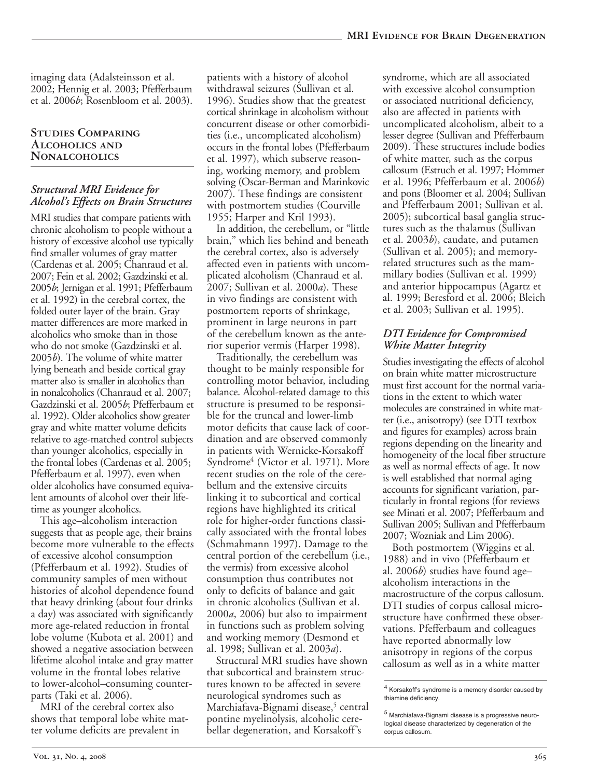imaging data (Adalsteinsson et al. 2002; Hennig et al. 2003; Pfefferbaum et al. 2006*b*; Rosenbloom et al. 2003).

#### **Studies Comparing Alcoholics and Nonalcoholics**

#### *Structural MRI Evidence for Alcohol's Effects on Brain Structures*

MRI studies that compare patients with chronic alcoholism to people without a history of excessive alcohol use typically find smaller volumes of gray matter (Cardenas et al. 2005; Chanraud et al. 2007; Fein et al. 2002; Gazdzinski et al. 2005*b*; Jernigan et al. 1991; Pfefferbaum et al. 1992) in the cerebral cortex, the folded outer layer of the brain. Gray matter differences are more marked in alcoholics who smoke than in those who do not smoke (Gazdzinski et al. 2005*b*). The volume of white matter lying beneath and beside cortical gray matter also is smaller in alcoholics than in nonalcoholics (Chanraud et al. 2007; Gazdzinski et al. 2005*b*; Pfefferbaum et al. 1992). Older alcoholics show greater gray and white matter volume deficits relative to age-matched control subjects than younger alcoholics, especially in the frontal lobes (Cardenas et al. 2005; Pfefferbaum et al. 1997), even when older alcoholics have consumed equivalent amounts of alcohol over their lifetime as younger alcoholics.

This age–alcoholism interaction suggests that as people age, their brains become more vulnerable to the effects of excessive alcohol consumption (Pfefferbaum et al. 1992). Studies of community samples of men without histories of alcohol dependence found that heavy drinking (about four drinks a day) was associated with significantly more age-related reduction in frontal lobe volume (Kubota et al. 2001) and showed a negative association between lifetime alcohol intake and gray matter volume in the frontal lobes relative to lower-alcohol–consuming counterparts (Taki et al. 2006).

MRI of the cerebral cortex also shows that temporal lobe white matter volume deficits are prevalent in

patients with a history of alcohol withdrawal seizures (Sullivan et al. 1996). Studies show that the greatest cortical shrinkage in alcoholism without concurrent disease or other comorbidities (i.e., uncomplicated alcoholism) occurs in the frontal lobes (Pfefferbaum et al. 1997), which subserve reasoning, working memory, and problem solving (Oscar-Berman and Marinkovic 2007). These findings are consistent with postmortem studies (Courville 1955; Harper and Kril 1993).

In addition, the cerebellum, or "little brain," which lies behind and beneath the cerebral cortex, also is adversely affected even in patients with uncomplicated alcoholism (Chanraud et al. 2007; Sullivan et al. 2000*a*). These in vivo findings are consistent with postmortem reports of shrinkage, prominent in large neurons in part of the cerebellum known as the anterior superior vermis (Harper 1998).

Traditionally, the cerebellum was thought to be mainly responsible for controlling motor behavior, including balance. Alcohol-related damage to this structure is presumed to be responsible for the truncal and lowerlimb motor deficits that cause lack of coordination and are observed commonly in patients with Wernicke-Korsakoff Syndrome<sup>4</sup> (Victor et al. 1971). More recent studies on the role of the cerebellum and the extensive circuits linking it to subcortical and cortical regions have highlighted its critical role for higher-order functions classically associated with the frontal lobes (Schmahmann 1997). Damage to the central portion of the cerebellum (i.e., the vermis) from excessive alcohol consumption thus contributes not only to deficits of balance and gait in chronic alcoholics (Sullivan et al. 2000*a*, 2006) but also to impairment in functions such as problem solving and working memory (Desmond et al. 1998; Sullivan et al. 2003*a*).

Structural MRI studies have shown that subcortical and brainstem structures known to be affected in severe neurological syndromes such as Marchiafava-Bignami disease,<sup>5</sup> central pontine myelinolysis, alcoholic cerebellar degeneration, and Korsakoff's

syndrome, which are all associated with excessive alcohol consumption or associated nutritional deficiency, also are affected in patients with uncomplicated alcoholism, albeit to a lesser degree (Sullivan and Pfefferbaum 2009). These structures include bodies of white matter, such as the corpus callosum (Estruch et al. 1997; Hommer et al. 1996; Pfefferbaum et al. 2006*b*) and pons (Bloomer et al. 2004; Sullivan and Pfefferbaum 2001; Sullivan et al. 2005); subcortical basal ganglia structures such as the thalamus (Sullivan et al. 2003*b*), caudate, and putamen (Sullivan et al. 2005); and memoryrelated structures such as the mammillary bodies (Sullivan et al. 1999) and anterior hippocampus (Agartz et al. 1999; Beresford et al. 2006; Bleich et al. 2003; Sullivan et al. 1995).

#### *DTI Evidence for Compromised White Matter Integrity*

Studies investigating the effects of alcohol on brain white matter microstructure must first account for the normal variations in the extent to which water molecules are constrained in white matter (i.e., anisotropy) (see DTI textbox and figures for examples) across brain regions depending on the linearity and homogeneity of the local fiber structure as well as normal effects of age. It now is well established that normal aging accounts for significant variation, particularly in frontal regions (for reviews see Minati et al. 2007; Pfefferbaum and Sullivan 2005; Sullivan and Pfefferbaum 2007; Wozniak and Lim 2006).

Both postmortem (Wiggins et al. 1988) and in vivo (Pfefferbaum et al. 2006*b*) studies have found age– alcoholism interactions in the macrostructure of the corpus callosum. DTI studies of corpus callosal microstructure have confirmed these observations. Pfefferbaum and colleagues have reported abnormally low anisotropy in regions of the corpus callosum as well as in a white matter

<sup>4</sup> Korsakoff's syndrome is a memory disorder caused by thiamine deficiency.

 $5$  Marchiafava-Bignami disease is a progressive neurological disease characterized by degeneration of the corpus callosum.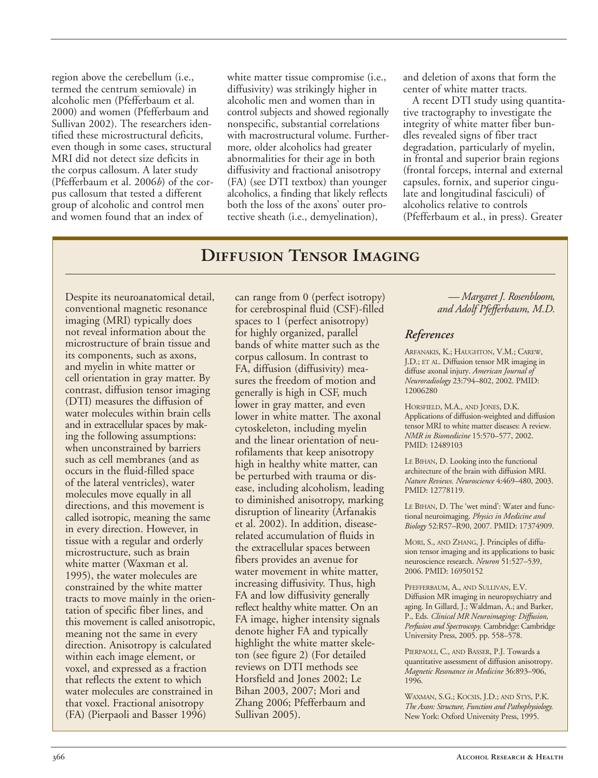region above the cerebellum (i.e., termed the centrum semiovale) in alcoholic men (Pfefferbaum et al. 2000) and women (Pfefferbaum and Sullivan 2002). The researchers identified these microstructural deficits, even though in some cases, structural MRI did not detect size deficits in the corpus callosum. A later study (Pfefferbaum et al. 2006*b*) of the corpus callosum that tested a different group of alcoholic and control men and women found that an index of

white matter tissue compromise (i.e., diffusivity) was strikingly higher in alcoholic men and women than in control subjects and showed regionally nonspecific, substantial correlations with macrostructural volume. Furthermore, older alcoholics had greater abnormalities for their age in both diffusivity and fractional anisotropy (FA) (see DTI textbox) than younger alcoholics, a finding that likely reflects both the loss of the axons' outer protective sheath (i.e., demyelination),

and deletion of axons that form the center of white matter tracts.

A recent DTI study using quantitative tractography to investigate the integrity of white matter fiber bundles revealed signs of fiber tract degradation, particularly of myelin, in frontal and superior brain regions (frontal forceps, internal and external capsules, fornix, and superior cingulate and longitudinal fasciculi) of alcoholics relative to controls (Pfefferbaum et al., in press). Greater

# **Diffusion Tensor Imaging**

Despite its neuroanatomical detail, conventional magnetic resonance imaging (MRI) typically does not reveal information about the microstructure of brain tissue and its components, such as axons, and myelin in white matter or cell orientation in gray matter. By contrast, diffusion tensor imaging (DTI) measures the diffusion of water molecules within brain cells and in extracellular spaces by making the following assumptions: when unconstrained by barriers such as cell membranes (and as occurs in the fluid-filled space of the lateral ventricles), water molecules move equally in all directions, and this movement is called isotropic, meaning the same in every direction. However, in tissue with a regular and orderly microstructure, such as brain white matter (Waxman et al. 1995), the water molecules are constrained by the white matter tracts to move mainly in the orientation of specific fiber lines, and this movement is called anisotropic, meaning not the same in every direction. Anisotropy is calculated within each image element, or voxel, and expressed as a fraction that reflects the extent to which water molecules are constrained in that voxel. Fractional anisotropy (FA) (Pierpaoli and Basser 1996)

can range from 0 (perfect isotropy) for cerebrospinal fluid (CSF)-filled spaces to 1 (perfect anisotropy) for highly organized, parallel bands of white matter such as the corpus callosum. In contrast to FA, diffusion (diffusivity) measures the freedom of motion and generally is high in CSF, much lower in gray matter, and even lower in white matter. The axonal cytoskeleton, including myelin and the linear orientation of neurofilaments that keep anisotropy high in healthy white matter, can be perturbed with trauma or disease, including alcoholism, leading to diminished anisotropy, marking disruption of linearity (Arfanakis et al. 2002). In addition, diseaserelated accumulation of fluids in the extracellular spaces between fibers provides an avenue for water movement in white matter, increasing diffusivity. Thus, high FA and low diffusivity generally reflect healthy white matter. On an FA image, higher intensity signals denote higher FA and typically highlight the white matter skeleton (see figure 2) (For detailed reviews on DTI methods see Horsfield and Jones 2002; Le Bihan 2003, 2007; Mori and Zhang 2006; Pfefferbaum and Sullivan 2005).

*— Margaret J. Rosenbloom, and Adolf Pfefferbaum, M.D.*

#### *References*

ARFANAKIS, K.; HAUGHTON, V.M.; CAREW, J.D.; ET AL. Diffusion tensor MR imaging in diffuse axonal injury. *American Journal of Neuroradiology* 23:794–802, 2002. PMID: 12006280

HORSFIELD, M.A., AND JONES, D.K. Applications of diffusion-weighted and diffusion tensor MRI to white matter diseases: A review. *NMR in Biomedicine* 15:570–577, 2002. PMID: 12489103

LE BIHAN, D. Looking into the functional architecture of the brain with diffusion MRI. *Nature Reviews. Neuroscience* 4:469–480, 2003. PMID: 12778119.

LE BIHAN, D. The 'wet mind': Water and functional neuroimaging. *Physics in Medicine and Biology* 52:R57–R90, 2007. PMID: 17374909.

MORI, S., AND ZHANG, J. Principles of diffusion tensor imaging and its applications to basic neuroscience research. *Neuron* 51:527–539, 2006. PMID: 16950152

PFEFFERBAUM, A., AND SULLIVAN, E.V. Diffusion MR imaging in neuropsychiatry and aging. In Gillard, J.; Waldman, A.; and Barker, P., Eds. *Clinical MR Neuroimaging: Diffusion, Perfusion and Spectroscopy.* Cambridge: Cambridge University Press, 2005. pp. 558–578.

PIERPAOLI, C., AND BASSER, P.J. Towards a quantitative assessment of diffusion anisotropy. *Magnetic Resonance in Medicine* 36:893–906, 1996.

WAXMAN, S.G.; KOCSIS, J.D.; AND STYS, P.K. *The Axon: Structure, Function and Pathophysiology.* New York: Oxford University Press, 1995.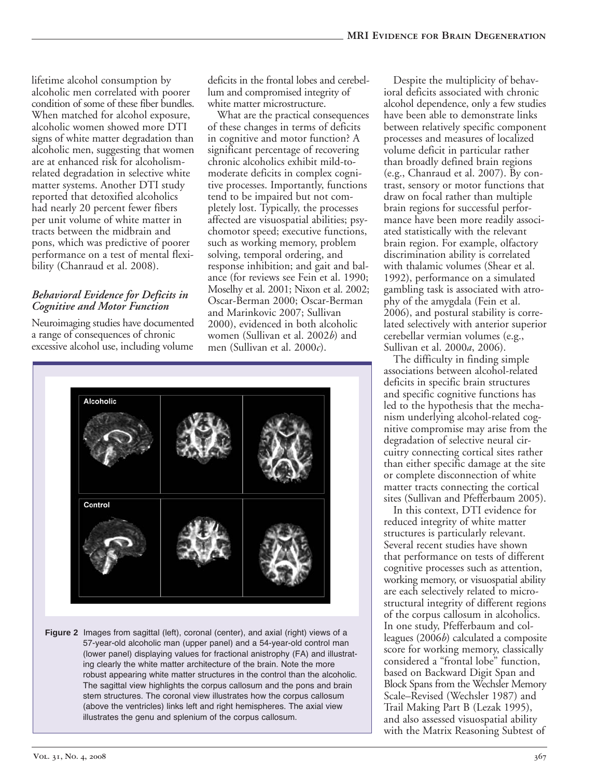lifetime alcohol consumption by alcoholic men correlated with poorer condition of some of these fiber bundles. When matched for alcohol exposure, alcoholic women showed more DTI signs of white matter degradation than alcoholic men, suggesting that women are at enhanced risk for alcoholismrelated degradation in selective white matter systems. Another DTI study reported that detoxified alcoholics had nearly 20 percent fewer fibers per unit volume of white matter in tracts between the midbrain and pons, which was predictive of poorer performance on a test of mental flexibility (Chanraud et al. 2008).

#### *Behavioral Evidence for Deficits in Cognitive and Motor Function*

Neuroimaging studies have documented a range of consequences of chronic excessive alcohol use, including volume

deficits in the frontal lobes and cerebellum and compromised integrity of white matter microstructure.

What are the practical consequences of these changes in terms of deficits in cognitive and motor function? A significant percentage of recovering chronic alcoholics exhibit mild-tomoderate deficits in complex cognitive processes. Importantly, functions tend to be impaired but not completely lost. Typically, the processes affected are visuospatial abilities; psychomotor speed; executive functions, such as working memory, problem solving, temporal ordering, and response inhibition; and gait and balance (for reviews see Fein et al. 1990; Moselhy et al. 2001; Nixon et al. 2002; Oscar-Berman 2000; Oscar-Berman and Marinkovic 2007; Sullivan 2000), evidenced in both alcoholic women (Sullivan et al. 2002*b*) and men (Sullivan et al. 2000*c*).



**Figure 2** Images from sagittal (left), coronal (center), and axial (right) views of a 57-year-old alcoholic man (upper panel) and a 54-year-old control man (lower panel) displaying values for fractional anistrophy (FA) and illustrating clearly the white matter architecture of the brain. Note the more robust appearing white matter structures in the control than the alcoholic. The sagittal view highlights the corpus callosum and the pons and brain stem structures. The coronal view illustrates how the corpus callosum (above the ventricles) links left and right hemispheres. The axial view illustrates the genu and splenium of the corpus callosum.

Despite the multiplicity of behavioral deficits associated with chronic alcohol dependence, only a few studies have been able to demonstrate links between relatively specific component processes and measures of localized volume deficit in particular rather than broadly defined brain regions (e.g., Chanraud et al. 2007). By contrast, sensory or motor functions that draw on focal rather than multiple brain regions for successful performance have been more readily associated statistically with the relevant brain region. For example, olfactory discrimination ability is correlated with thalamic volumes (Shear et al. 1992), performance on a simulated gambling task is associated with atrophy of the amygdala (Fein et al. 2006), and postural stability is correlated selectively with anterior superior cerebellar vermian volumes (e.g., Sullivan et al. 2000*a*, 2006).

The difficulty in finding simple associations between alcohol-related deficits in specific brain structures and specific cognitive functions has led to the hypothesis that the mechanism underlying alcohol-related cognitive compromise may arise from the degradation of selective neural circuitry connecting cortical sites rather than either specific damage at the site or complete disconnection of white matter tracts connecting the cortical sites (Sullivan and Pfefferbaum 2005).

In this context, DTI evidence for reduced integrity of white matter structures is particularly relevant. Several recent studies have shown that performance on tests of different cognitive processes such as attention, working memory, or visuospatial ability are each selectively related to microstructural integrity of different regions of the corpus callosum in alcoholics. In one study, Pfefferbaum and colleagues (2006*b*) calculated a composite score for working memory, classically considered a "frontal lobe" function, based on Backward Digit Span and Block Spans from the Wechsler Memory Scale–Revised (Wechsler 1987) and Trail Making Part B (Lezak 1995), and also assessed visuospatial ability with the Matrix Reasoning Subtest of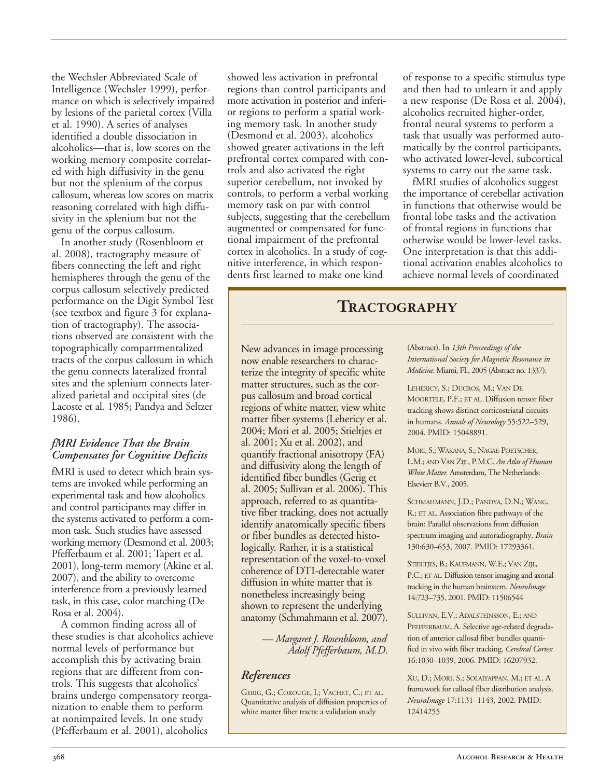the Wechsler Abbreviated Scale of Intelligence (Wechsler 1999), performance on which is selectively impaired by lesions of the parietal cortex (Villa et al. 1990). A series of analyses identified a double dissociation in alcoholics—that is, low scores on the working memory composite correlated with high diffusivity in the genu but not the splenium of the corpus callosum, whereas low scores on matrix reasoning correlated with high diffusivity in the splenium but not the genu of the corpus callosum.

In another study (Rosenbloom et al. 2008), tractography measure of fibers connecting the left and right hemispheres through the genu of the corpus callosum selectively predicted performance on the Digit Symbol Test (see textbox and figure 3 for explanation of tractography). The associations observed are consistent with the topographically compartmentalized tracts of the corpus callosum in which the genu connects lateralized frontal sites and the splenium connects lateralized parietal and occipital sites (de Lacoste et al. 1985; Pandya and Seltzer 1986).

#### *fMRI Evidence That the Brain Compensates for Cognitive Deficits*

fMRI is used to detect which brain systems are invoked while performing an experimental task and how alcoholics and control participants may differ in the systems activated to perform a common task. Such studies have assessed working memory (Desmond et al. 2003; Pfefferbaum et al. 2001; Tapert et al. 2001), long-term memory (Akine et al. 2007), and the ability to overcome interference from a previously learned task, in this case, color matching (De Rosa et al. 2004).

A common finding across all of these studies is that alcoholics achieve normal levels of performance but accomplish this by activating brain regions that are different from controls. This suggests that alcoholics' brains undergo compensatory reorganization to enable them to perform at nonimpaired levels. In one study (Pfefferbaum et al. 2001), alcoholics

showed less activation in prefrontal regions than control participants and more activation in posterior and inferior regions to perform a spatial working memory task. In another study (Desmond et al. 2003), alcoholics showed greater activations in the left prefrontal cortex compared with controls and also activated the right superior cerebellum, not invoked by controls, to perform a verbal working memory task on par with control subjects, suggesting that the cerebellum augmented or compensated for functional impairment of the prefrontal cortex in alcoholics. In a study of cognitive interference, in which respondents first learned to make one kind

of response to a specific stimulus type and then had to unlearn it and apply a new response (De Rosa et al. 2004), alcoholics recruited higher-order, frontal neural systems to perform a task that usually was performed automatically by the control participants, who activated lower-level, subcortical systems to carry out the same task.

fMRI studies of alcoholics suggest the importance of cerebellar activation in functions that otherwise would be frontal lobe tasks and the activation of frontal regions in functions that otherwise would be lower-level tasks. One interpretation is that this additional activation enables alcoholics to achieve normal levels of coordinated

### **Tractography**

New advances in image processing now enable researchers to characterize the integrity of specific white matter structures, such as the corpus callosum and broad cortical regions of white matter, view white matter fiber systems (Lehericy et al. 2004; Mori et al. 2005; Stieltjes et al. 2001; Xu et al. 2002), and quantify fractional anisotropy (FA) and diffusivity along the length of identified fiber bundles (Gerig et al. 2005; Sullivan et al. 2006). This approach, referred to as quantitative fiber tracking, does not actually identify anatomically specific fibers or fiber bundles as detected histologically. Rather, it is a statistical representation of the voxel-to-voxel coherence of DTI-detectable water diffusion in white matter that is nonetheless increasingly being shown to represent the underlying anatomy (Schmahmann et al. 2007).

> *— Margaret J. Rosenbloom, and Adolf Pfefferbaum, M.D.*

#### *References*

GERIG, G.; COROUGE, I.; VACHET, C.; ET AL. Quantitative analysis of diffusion properties of white matter fiber tracts: a validation study

(Abstract). In *13th Proceedings of the International Society for Magnetic Resonance in Medicine.* Miami, FL, 2005 (Abstract no. 1337).

LEHERICY, S.; DUCROS, M.; VAN DE MOORTELE, P.F.; ET AL. Diffusion tensor fiber tracking shows distinct corticostriatal circuits in humans. *Annals of Neurology* 55:522–529, 2004. PMID: 15048891.

MORI, S.; WAKANA, S.; NAGAE-POETSCHER, L.M.; AND VAN ZIJL, P.M.C. *An Atlas of Human White Matter.* Amsterdam, The Netherlands: Elsevierr B.V., 2005.

SCHMAHMANN, J.D.; PANDYA, D.N.; WANG, R.; ET AL. Association fibre pathways of the brain: Parallel observations from diffusion spectrum imaging and autoradiography. *Brain* 130:630–653, 2007. PMID: 17293361.

STIELTJES, B.; KAUFMANN, W.E.; VAN ZIJL, P.C.; ET AL. Diffusion tensor imaging and axonal tracking in the human brainstem. *NeuroImage* 14:723–735, 2001. PMID: 11506544

SULLIVAN, E.V.; ADALSTEINSSON, E.; AND PFEFFERBAUM, A. Selective age-related degradation of anterior callosal fiber bundles quantified in vivo with fiber tracking. *Cerebral Cortex* 16:1030–1039, 2006. PMID: 16207932.

XU, D.; MORI, S.; SOLAIYAPPAN, M.; ET AL. A framework for callosal fiber distribution analysis. *NeuroImage* 17:1131–1143, 2002. PMID: 12414255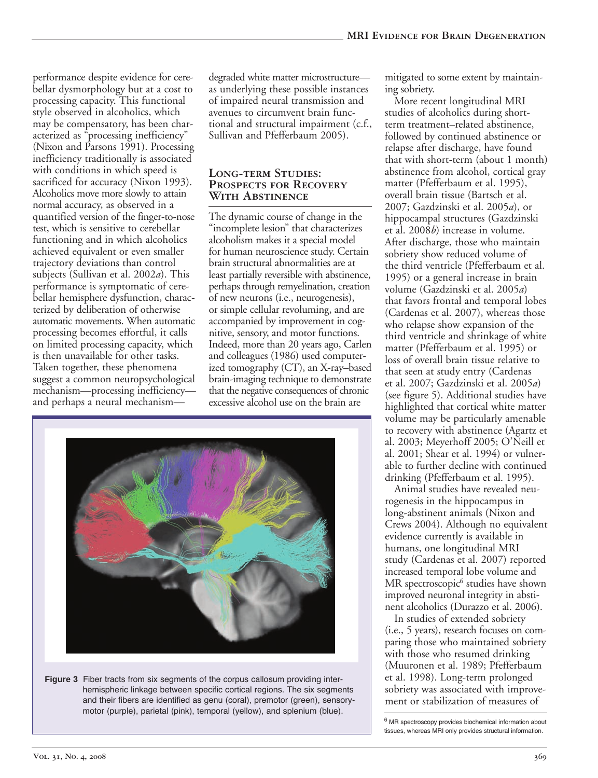performance despite evidence for cerebellar dysmorphology but at a cost to processing capacity. This functional style observed in alcoholics, which may be compensatory, has been characterized as "processing inefficiency" (Nixon and Parsons 1991). Processing inefficiency traditionally is associated with conditions in which speed is sacrificed for accuracy (Nixon 1993). Alcoholics move more slowly to attain normal accuracy, as observed in a quantified version of the finger-to-nose test, which is sensitive to cerebellar functioning and in which alcoholics achieved equivalent or even smaller trajectory deviations than control subjects (Sullivan et al. 2002*a*). This performance is symptomatic of cerebellar hemisphere dysfunction, characterized by deliberation of otherwise automatic movements. When automatic processing becomes effortful, it calls on limited processing capacity, which is then unavailable for other tasks. Taken together, these phenomena suggest a common neuropsychological mechanism—processing inefficiency and perhaps a neural mechanismdegraded white matter microstructure as underlying these possible instances of impaired neural transmission and avenues to circumvent brain functional and structural impairment (c.f., Sullivan and Pfefferbaum 2005).

#### **LONG-TERM STUDIES: Prospects for Recovery With Abstinence**

The dynamic course of change in the "incomplete lesion" that characterizes alcoholism makes it a special model for human neuroscience study. Certain brain structural abnormalities are at least partially reversible with abstinence, perhaps through remyelination, creation of new neurons (i.e., neurogenesis), or simple cellular revoluming, and are accompanied by improvement in cognitive, sensory, and motor functions. Indeed, more than 20 years ago, Carlen and colleagues (1986) used computerized tomography  $(CT)$ , an X-ray–based brain-imaging technique to demonstrate that the negative consequences of chronic excessive alcohol use on the brain are



**Figure 3** Fiber tracts from six segments of the corpus callosum providing interhemispheric linkage between specific cortical regions. The six segments and their fibers are identified as genu (coral), premotor (green), sensorymotor (purple), parietal (pink), temporal (yellow), and splenium (blue).

mitigated to some extent by maintaining sobriety.

More recent longitudinal MRI studies of alcoholics during shortterm treatment–related abstinence, followed by continued abstinence or relapse after discharge, have found that with short-term (about 1 month) abstinence from alcohol, cortical gray matter (Pfefferbaum et al. 1995), overall brain tissue (Bartsch et al. 2007; Gazdzinski et al. 2005*a*), or hippocampal structures (Gazdzinski et al. 2008*b*) increase in volume. After discharge, those who maintain sobriety show reduced volume of the third ventricle (Pfefferbaum et al. 1995) or a general increase in brain volume (Gazdzinski et al. 2005*a*) that favors frontal and temporal lobes (Cardenas et al. 2007), whereas those who relapse show expansion of the third ventricle and shrinkage of white matter (Pfefferbaum et al. 1995) or loss of overall brain tissue relative to that seen at study entry (Cardenas et al. 2007; Gazdzinski et al. 2005*a*) (see figure 5). Additional studies have highlighted that cortical white matter volume may be particularly amenable to recovery with abstinence (Agartz et al. 2003; Meyerhoff 2005; O'Neill et al. 2001; Shear et al. 1994) or vulnerable to further decline with continued drinking (Pfefferbaum et al. 1995).

Animal studies have revealed neurogenesis in the hippocampus in long-abstinent animals (Nixon and Crews 2004). Although no equivalent evidence currently is available in humans, one longitudinal MRI study (Cardenas et al. 2007) reported increased temporal lobe volume and MR spectroscopic<sup>6</sup> studies have shown improved neuronal integrity in abstinent alcoholics (Durazzo et al. 2006).

In studies of extended sobriety (i.e., 5 years), research focuses on comparing those who maintained sobriety with those who resumed drinking (Muuronen et al. 1989; Pfefferbaum et al. 1998). Long-term prolonged sobriety was associated with improvement or stabilization of measures of

<sup>6</sup> MR spectroscopy provides biochemical information about tissues, whereas MRI only provides structural information.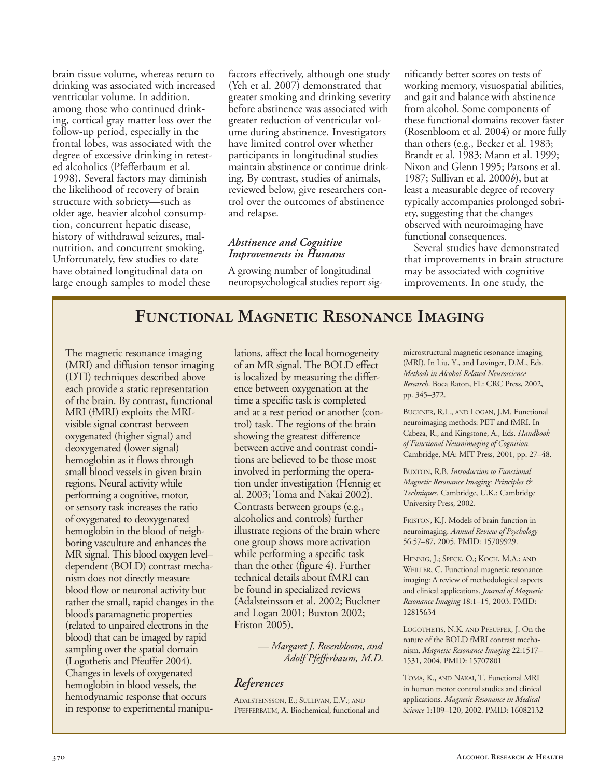brain tissue volume, whereas return to drinking was associated with increased ventricular volume. In addition, among those who continued drinking, cortical gray matter loss over the follow-up period, especially in the frontal lobes, was associated with the degree of excessive drinking in retested alcoholics (Pfefferbaum et al. 1998). Several factors may diminish the likelihood of recovery of brain structure with sobriety—such as older age, heavier alcohol consumption, concurrent hepatic disease, history of withdrawal seizures, malnutrition, and concurrent smoking. Unfortunately, few studies to date have obtained longitudinal data on large enough samples to model these

factors effectively, although one study (Yeh et al. 2007) demonstrated that greater smoking and drinking severity before abstinence was associated with greater reduction of ventricular volume during abstinence. Investigators have limited control over whether participants in longitudinal studies maintain abstinence or continue drinking. By contrast, studies of animals, reviewed below, give researchers control over the outcomes of abstinence and relapse.

#### *Abstinence and Cognitive Improvements in Humans*

A growing number of longitudinal neuropsychological studies report significantly better scores on tests of working memory, visuospatial abilities, and gait and balance with abstinence from alcohol. Some components of these functional domains recover faster (Rosenbloom et al. 2004) or more fully than others (e.g., Becker et al. 1983; Brandt et al. 1983; Mann et al. 1999; Nixon and Glenn 1995; Parsons et al. 1987; Sullivan et al. 2000*b*), but at least a measurable degree of recovery typically accompanies prolonged sobriety, suggesting that the changes observed with neuroimaging have functional consequences.

Several studies have demonstrated that improvements in brain structure may be associated with cognitive improvements. In one study, the

## **Functional Magnetic Resonance Imaging**

The magnetic resonance imaging (MRI) and diffusion tensor imaging (DTI) techniques described above each provide a static representation of the brain. By contrast, functional MRI (fMRI) exploits the MRIvisible signal contrast between oxygenated (higher signal) and deoxygenated (lower signal) hemoglobin as it flows through small blood vessels in given brain regions. Neural activity while performing a cognitive, motor, or sensory task increases the ratio of oxygenated to deoxygenated hemoglobin in the blood of neighboring vasculture and enhances the MR signal. This blood oxygen level– dependent (BOLD) contrast mechanism does not directly measure blood flow or neuronal activity but rather the small, rapid changes in the blood's paramagnetic properties (related to unpaired electrons in the blood) that can be imaged by rapid sampling over the spatial domain (Logothetis and Pfeuffer 2004). Changes in levels of oxygenated hemoglobin in blood vessels, the hemodynamic response that occurs in response to experimental manipu-

lations, affect the local homogeneity of an MR signal. The BOLD effect is localized by measuring the difference between oxygenation at the time a specific task is completed and at a rest period or another (control) task. The regions of the brain showing the greatest difference between active and contrast conditions are believed to be those most involved in performing the operation under investigation (Hennig et al. 2003; Toma and Nakai 2002). Contrasts between groups (e.g., alcoholics and controls) further illustrate regions of the brain where one group shows more activation while performing a specific task than the other (figure 4). Further technical details about fMRI can be found in specialized reviews (Adalsteinsson et al. 2002; Buckner and Logan 2001; Buxton 2002; Friston 2005).

> *— Margaret J. Rosenbloom, and Adolf Pfefferbaum, M.D.*

#### *References*

ADALSTEINSSON, E.; SULLIVAN, E.V.; AND PFEFFERBAUM, A. Biochemical, functional and microstructural magnetic resonance imaging (MRI). In Liu, Y., and Lovinger, D.M., Eds.  $Methods in Alcohol-Related *Neuroscience*$ *Research*. Boca Raton, FL: CRC Press, 2002, pp. 345–372.

BUCKNER, R.L., AND LOGAN, J.M. Functional neuroimaging methods: PET and fMRI. In Cabeza, R., and Kingstone, A., Eds. *Handbook of Functional Neuroimaging of Cognition.* Cambridge, MA: MIT Press, 2001, pp. 27–48.

BUXTON, R.B. *Introduction to Functional Magnetic Resonance Imaging: Principles & Techniques.* Cambridge, U.K.: Cambridge University Press, 2002.

FRISTON, K.J. Models of brain function in neuroimaging. *Annual Review of Psychology* 56:57–87, 2005. PMID: 15709929.

HENNIG, J.; SPECK, O.; KOCH, M.A.; AND WEILLER, C. Functional magnetic resonance imaging: A review of methodological aspects and clinical applications. *Journal of Magnetic Resonance Imaging* 18:1–15, 2003. PMID: 12815634

LOGOTHETIS, N.K. AND PFEUFFER, J. On the nature of the BOLD fMRI contrast mechanism. *Magnetic Resonance Imaging* 22:1517– 1531, 2004. PMID: 15707801

TOMA, K., AND NAKAI, T. Functional MRI in human motor control studies and clinical applications. *Magnetic Resonance in Medical Science* 1:109–120, 2002. PMID: 16082132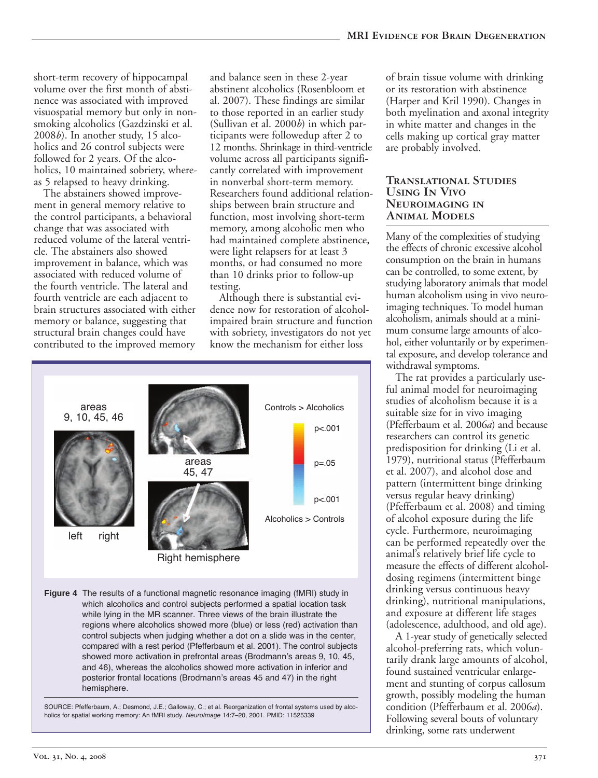short-term recovery of hippocampal volume over the first month of abstinence was associated with improved visuospatial memory but only in nonsmoking alcoholics (Gazdzinski et al. 2008*b*). In another study, 15 alcoholics and 26 control subjects were followed for 2 years. Of the alcoholics, 10 maintained sobriety, whereas 5 relapsed to heavy drinking.

The abstainers showed improvement in general memory relative to the control participants, a behavioral change that was associated with reduced volume of the lateral ventricle. The abstainers also showed improvement in balance, which was associated with reduced volume of the fourth ventricle. The lateral and fourth ventricle are each adjacent to brain structures associated with either memory or balance, suggesting that structural brain changes could have contributed to the improved memory and balance seen in these 2-year abstinent alcoholics (Rosenbloom et al. 2007). These findings are similar to those reported in an earlier study (Sullivan et al. 2000*b*) in which participants were followedup after 2 to 12 months. Shrinkage in third-ventricle volume across all participants significantly correlated with improvement in nonverbal short-term memory. Researchers found additional relationships between brain structure and function, most involving short-term memory, among alcoholic men who had maintained complete abstinence, were light relapsers for at least 3 months, or had consumed no more than 10 drinks prior to follow-up testing.

Although there is substantial evidence now for restoration of alcoholimpaired brain structure and function with sobriety, investigators do not yet know the mechanism for either loss



**Figure 4** The results of a functional magnetic resonance imaging (fMRI) study in which alcoholics and control subjects performed a spatial location task while lying in the MR scanner. Three views of the brain illustrate the regions where alcoholics showed more (blue) or less (red) activation than control subjects when judging whether a dot on a slide was in the center, compared with a rest period (Pfefferbaum et al. 2001). The control subjects showed more activation in prefrontal areas (Brodmann's areas 9, 10, 45, and 46), whereas the alcoholics showed more activation in inferior and posterior frontal locations (Brodmann's areas 45 and 47) in the right hemisphere.

SOURCE: Pfefferbaum, A.; Desmond, J.E.; Galloway, C.; et al. Reorganization of frontal systems used by alcoholics for spatial working memory: An fMRI study. *NeuroImage* 14:7–20, 2001. PMID: 11525339

of brain tissue volume with drinking or its restoration with abstinence (Harper and Kril 1990). Changes in both myelination and axonal integrity in white matter and changes in the cells making up cortical gray matter are probably involved.

#### **Translational Studies Using In Vivo Neuroimaging in Animal Models**

Many of the complexities of studying the effects of chronic excessive alcohol consumption on the brain in humans can be controlled, to some extent, by studying laboratory animals that model human alcoholism using in vivo neuroimaging techniques. To model human alcoholism, animals should at a minimum consume large amounts of alcohol, either voluntarily or by experimental exposure, and develop tolerance and withdrawal symptoms.

The rat provides a particularly useful animal model for neuroimaging studies of alcoholism because it is a suitable size for in vivo imaging (Pfefferbaum et al. 2006*a*) and because researchers can control its genetic predisposition for drinking (Li et al. 1979), nutritional status (Pfefferbaum et al. 2007), and alcohol dose and pattern (intermittent binge drinking versus regular heavy drinking) (Pfefferbaum et al. 2008) and timing of alcohol exposure during the life cycle. Furthermore, neuroimaging can be performed repeatedly over the animal's relatively brief life cycle to measure the effects of different alcoholdosing regimens (intermittent binge drinking versus continuous heavy drinking), nutritional manipulations, and exposure at different life stages (adolescence, adulthood, and old age).

A 1-year study of genetically selected alcohol-preferring rats, which voluntarily drank large amounts of alcohol, found sustained ventricular enlargement and stunting of corpus callosum growth, possibly modeling the human condition (Pfefferbaum et al. 2006*a*). Following several bouts of voluntary drinking, some rats underwent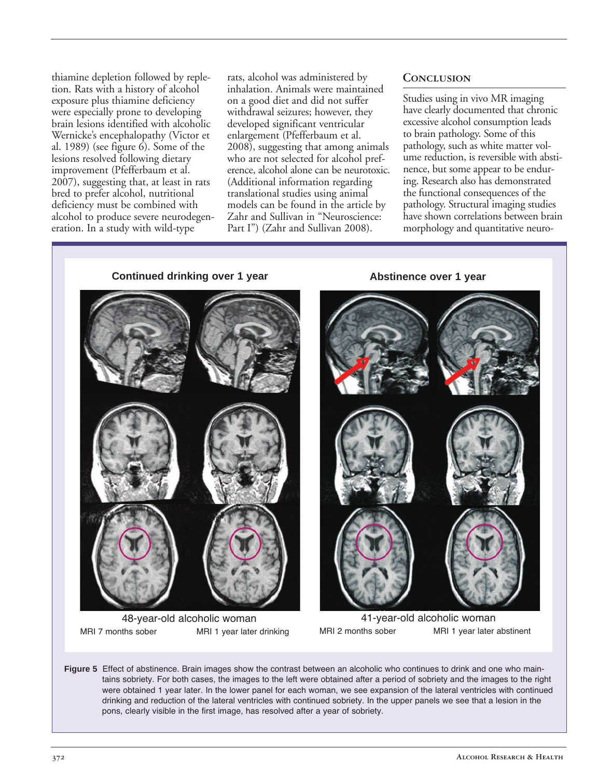thiamine depletion followed by repletion. Rats with a history of alcohol exposure plus thiamine deficiency were especially prone to developing brain lesions identified with alcoholic Wernicke's encephalopathy (Victor et al. 1989) (see figure  $\hat{6}$ ). Some of the lesions resolved following dietary improvement (Pfefferbaum et al. 2007), suggesting that, at least in rats bred to prefer alcohol, nutritional deficiency must be combined with alcohol to produce severe neurodegeneration. In a study with wild-type

rats, alcohol was administered by inhalation. Animals were maintained on a good diet and did not suffer withdrawal seizures; however, they developed significant ventricular enlargement (Pfefferbaum et al. 2008), suggesting that among animals who are not selected for alcohol preference, alcohol alone can be neurotoxic. (Additional information regarding translational studies using animal models can be found in the article by Zahr and Sullivan in "Neuroscience: Part I") (Zahr and Sullivan 2008).

#### **Conclusion**

Studies using in vivo MR imaging have clearly documented that chronic excessive alcohol consumption leads to brain pathology. Some of this pathology, such as white matter volume reduction, is reversible with abstinence, but some appear to be enduring. Research also has demonstrated the functional consequences of the pathology. Structural imaging studies have shown correlations between brain morphology and quantitative neuro-

**Continued drinking over 1 year Abstinence over 1 year**



48-year-old alcoholic woman MRI 7 months sober MRI 1 year later drinking



41-year-old alcoholic woman MRI 2 months sober MRI 1 year later abstinent

**Figure 5** Effect of abstinence. Brain images show the contrast between an alcoholic who continues to drink and one who maintains sobriety. For both cases, the images to the left were obtained after a period of sobriety and the images to the right were obtained 1 year later. In the lower panel for each woman, we see expansion of the lateral ventricles with continued drinking and reduction of the lateral ventricles with continued sobriety. In the upper panels we see that a lesion in the pons, clearly visible in the first image, has resolved after a year of sobriety.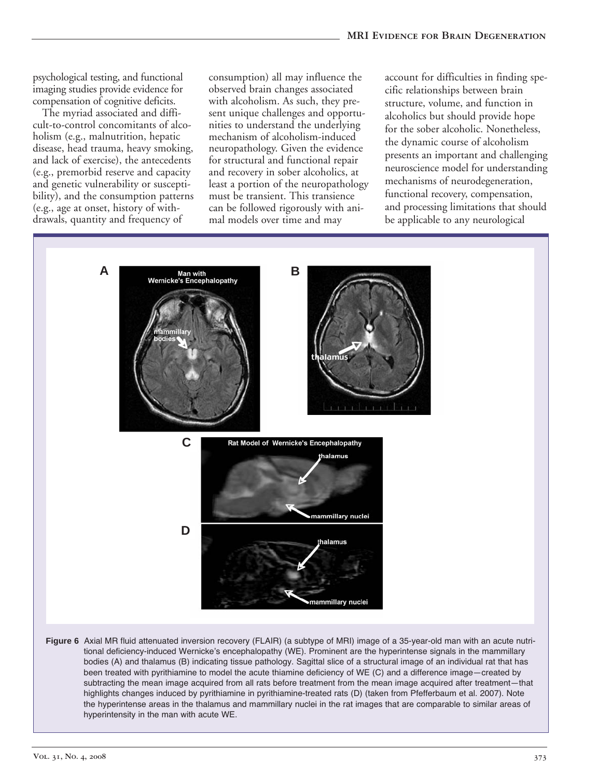psychological testing, and functional imaging studies provide evidence for compensation of cognitive deficits.

The myriad associated and difficult-to-control concomitants of alcoholism (e.g., malnutrition, hepatic disease, head trauma, heavy smoking, and lack of exercise), the antecedents (e.g., premorbid reserve and capacity and genetic vulnerability or susceptibility), and the consumption patterns (e.g., age at onset, history of withdrawals, quantity and frequency of

consumption) all may influence the observed brain changes associated with alcoholism. As such, they present unique challenges and opportunities to understand the underlying mechanism of alcoholism-induced neuropathology. Given the evidence for structural and functional repair and recovery in sober alcoholics, at least a portion of the neuropathology must be transient. This transience can be followed rigorously with animal models over time and may

account for difficulties in finding specific relationships between brain structure, volume, and function in alcoholics but should provide hope for the sober alcoholic. Nonetheless, the dynamic course of alcoholism presents an important and challenging neuroscience model for understanding mechanisms of neurodegeneration, functional recovery, compensation, and processing limitations that should be applicable to any neurological



been treated with pyrithiamine to model the acute thiamine deficiency of WE (C) and a difference image—created by subtracting the mean image acquired from all rats before treatment from the mean image acquired after treatment—that highlights changes induced by pyrithiamine in pyrithiamine-treated rats (D) (taken from Pfefferbaum et al. 2007). Note the hyperintense areas in the thalamus and mammillary nuclei in the rat images that are comparable to similar areas of hyperintensity in the man with acute WE.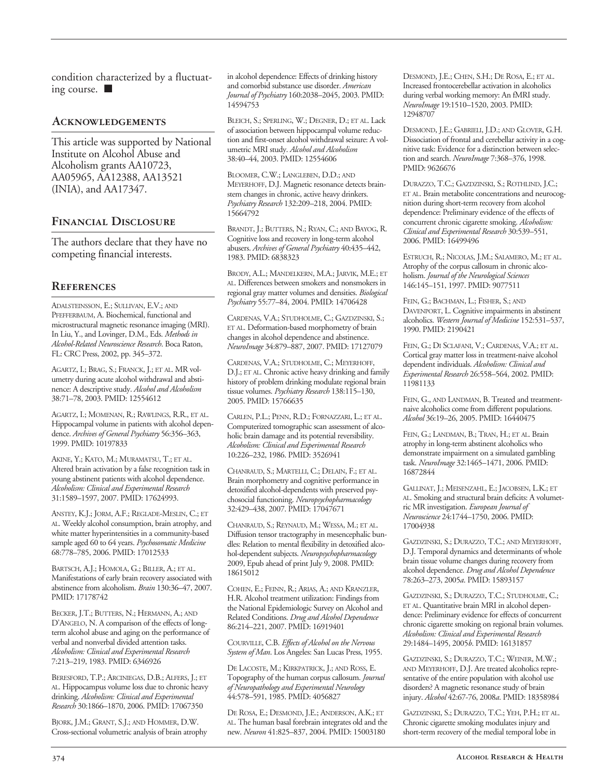condition characterized by a fluctuating course. ■

#### **Acknowledgements**

This article was supported by National Institute on Alcohol Abuse and Alcoholism grants AA10723, AA05965, AA12388, AA13521 (INIA), and AA17347.

#### **Financial Disclosure**

The authors declare that they have no competing financial interests.

#### **References**

ADALSTEINSSON, E.; SULLIVAN, E.V.; AND PFEFFERBAUM, A. Biochemical, functional and microstructural magnetic resonance imaging (MRI). In Liu, Y., and Lovinger, D.M., Eds. *Methods in AlcoholRelated Neuroscience Research*. Boca Raton, FL: CRC Press, 2002, pp. 345–372.

AGARTZ, I.; BRAG, S.; FRANCK, J.; ET AL. MR volumetry during acute alcohol withdrawal and abstinence: A descriptive study. *Alcohol and Alcoholism* 38:71–78, 2003. PMID: 12554612

AGARTZ, I.; MOMENAN, R.; RAWLINGS, R.R., ET AL. Hippocampal volume in patients with alcohol dependence. *Archives of General Psychiatry* 56:356–363, 1999. PMID: 10197833

AKINE, Y.; KATO, M.; MURAMATSU, T.; ET AL. Altered brain activation by a false recognition task in young abstinent patients with alcohol dependence. *Alcoholism: Clinical and Experimental Research* 31:1589–1597, 2007. PMID: 17624993.

ANSTEY, K.J.; JORM, A.F.; REGLADE-MESLIN, C.; ET AL. Weekly alcohol consumption, brain atrophy, and white matter hyperintensities in a community-based sample aged 60 to 64 years. *Psychosomatic Medicine* 68:778–785, 2006. PMID: 17012533

BARTSCH, A.J.; HOMOLA, G.; BILLER, A.; ET AL. Manifestations of early brain recovery associated with abstinence from alcoholism. *Brain* 130:36–47, 2007. PMID: 17178742

BECKER, J.T.; BUTTERS, N.; HERMANN, A.; AND D'ANGELO, N. A comparison of the effects of longterm alcohol abuse and aging on the performance of verbal and nonverbal divided attention tasks. *Alcoholism: Clinical and Experimental Research* 7:213–219, 1983. PMID: 6346926

BERESFORD, T.P.; ARCINIEGAS, D.B.; ALFERS, J.; ET AL. Hippocampus volume loss due to chronic heavy drinking. *Alcoholism: Clinical and Experimental Research* 30:1866–1870, 2006. PMID: 17067350

BJORK, J.M.; GRANT, S.J.; AND HOMMER, D.W. Cross-sectional volumetric analysis of brain atrophy in alcohol dependence: Effects of drinking history and comorbid substance use disorder. *American Journal of Psychiatry* 160:2038–2045, 2003. PMID: 14594753

BLEICH, S.; SPERLING, W.; DEGNER, D.; ET AL. Lack of association between hippocampal volume reduction and first-onset alcohol withdrawal seizure: A volumetric MRI study. *Alcohol and Alcoholism* 38:40–44, 2003. PMID: 12554606

BLOOMER, C.W.; LANGLEBEN, D.D.; AND MEYERHOFF, D.J. Magnetic resonance detects brainstem changes in chronic, active heavy drinkers. *Psychiatry Research* 132:209–218, 2004. PMID: 15664792

BRANDT, J.; BUTTERS, N.; RYAN, C.; AND BAYOG, R. Cognitive loss and recovery in long-term alcohol abusers. *Archives of General Psychiatry* 40:435–442, 1983. PMID: 6838323

BRODY, A.L.; MANDELKERN, M.A.; JARVIK, M.E.; ET AL. Differences between smokers and nonsmokers in regional gray matter volumes and densities. *Biological Psychiatry* 55:77–84, 2004. PMID: 14706428

CARDENAS, V.A.; STUDHOLME, C.; GAZDZINSKI, S.; ET AL. Deformation-based morphometry of brain changes in alcohol dependence and abstinence. *NeuroImage* 34:879–887, 2007. PMID: 17127079

CARDENAS, V.A.; STUDHOLME, C.; MEYERHOFF, D.J.; ET AL. Chronic active heavy drinking and family history of problem drinking modulate regional brain tissue volumes. *Psychiatry Research* 138:115–130, 2005. PMID: 15766635

CARLEN, P.L.; PENN, R.D.; FORNAZZARI, L.; ET AL. Computerized tomographic scan assessment of alcoholic brain damage and its potential reversibility. *Alcoholism: Clinical and Experimental Research* 10:226–232, 1986. PMID: 3526941

CHANRAUD, S.; MARTELLI, C.; DELAIN, F.; ET AL. Brain morphometry and cognitive performance in detoxified alcohol-dependents with preserved psychosocial functioning. *Neuropsychopharmacology* 32:429–438, 2007. PMID: 17047671

CHANRAUD, S.; REYNAUD, M.; WESSA, M.; ET AL. Diffusion tensor tractography in mesencephalic bundles: Relation to mental flexibility in detoxified alcohol-dependent subjects. Neuropsychopharmacology 2009, Epub ahead of print July 9, 2008. PMID: 18615012

COHEN, E.; FEINN, R.; ARIAS, A.; AND KRANZLER, H.R. Alcohol treatment utilization: Findings from the National Epidemiologic Survey on Alcohol and Related Conditions. *Drug and Alcohol Dependence* 86:214–221, 2007. PMID: 16919401

COURVILLE, C.B. *Effects of Alcohol on the Nervous System of Man*. Los Angeles: San Lucas Press, 1955.

DE LACOSTE, M.; KIRKPATRICK, J.; AND ROSS, E. Topography of the human corpus callosum. *Journal of Neuropathology and Experimental Neurology* 44:578–591, 1985. PMID: 4056827

DE ROSA, E.; DESMOND, J.E.; ANDERSON, A.K.; ET AL. The human basal forebrain integrates old and the new. *Neuron* 41:825–837, 2004. PMID: 15003180

DESMOND, J.E.; CHEN, S.H.; DE ROSA, E.; ET AL. Increased frontocerebellar activation in alcoholics during verbal working memory: An fMRI study. *NeuroImage* 19:1510–1520, 2003. PMID: 12948707

DESMOND, J.E.; GABRIELI, J.D.; AND GLOVER, G.H. Dissociation of frontal and cerebellar activity in a cognitive task: Evidence for a distinction between selection and search. *NeuroImage* 7:368–376, 1998. PMID: 9626676

DURAZZO, T.C.; GAZDZINSKI, S.; ROTHLIND, J.C.; ET AL. Brain metabolite concentrations and neurocognition during short-term recovery from alcohol dependence: Preliminary evidence of the effects of concurrent chronic cigarette smoking. *Alcoholism: Clinical and Experimental Research* 30:539–551, 2006. PMID: 16499496

ESTRUCH, R.; NICOLAS, J.M.; SALAMERO, M.; ET AL. Atrophy of the corpus callosum in chronic alcoholism. *Journal of the Neurological Sciences* 146:145–151, 1997. PMID: 9077511

FEIN, G.; BACHMAN, L.; FISHER, S.; AND DAVENPORT, L. Cognitive impairments in abstinent alcoholics. *Western Journal of Medicine* 152:531–537, 1990. PMID: 2190421

FEIN, G.; DI SCLAFANI, V.; CARDENAS, V.A.; ET AL. Cortical gray matter loss in treatment-naive alcohol dependent individuals. *Alcoholism: Clinical and Experimental Research* 26:558–564, 2002. PMID: 11981133

FEIN, G., AND LANDMAN, B. Treated and treatmentnaive alcoholics come from different populations. *Alcohol* 36:19–26, 2005. PMID: 16440475

FEIN, G.; LANDMAN, B.; TRAN, H.; ET AL. Brain atrophy in long-term abstinent alcoholics who demonstrate impairment on a simulated gambling task. *NeuroImage* 32:1465–1471, 2006. PMID: 16872844

GALLINAT, J.; MEISENZAHL, E.; JACOBSEN, L.K.; ET AL. Smoking and structural brain deficits: A volumetric MR investigation. *European Journal of Neuroscience* 24:1744–1750, 2006. PMID: 17004938

GAZDZINSKI, S.; DURAZZO, T.C.; AND MEYERHOFF, D.J. Temporal dynamics and determinants of whole brain tissue volume changes during recovery from alcohol dependence. *Drug and Alcohol Dependence* 78:263–273, 2005*a*. PMID: 15893157

GAZDZINSKI, S.; DURAZZO, T.C.; STUDHOLME, C.; ET AL. Quantitative brain MRI in alcohol dependence: Preliminary evidence for effects of concurrent chronic cigarette smoking on regional brain volumes. *Alcoholism: Clinical and Experimental Research* 29:1484–1495, 2005*b*. PMID: 16131857

GAZDZINSKI, S.; DURAZZO, T.C.; WEINER, M.W.; AND MEYERHOFF, D.J. Are treated alcoholics representative of the entire population with alcohol use disorders? A magnetic resonance study of brain injury. *Alcohol* 42:6776, 2008*a*. PMID: 18358984

GAZDZINSKI, S.; DURAZZO, T.C.; YEH, P.H.; ET AL. Chronic cigarette smoking modulates injury and short-term recovery of the medial temporal lobe in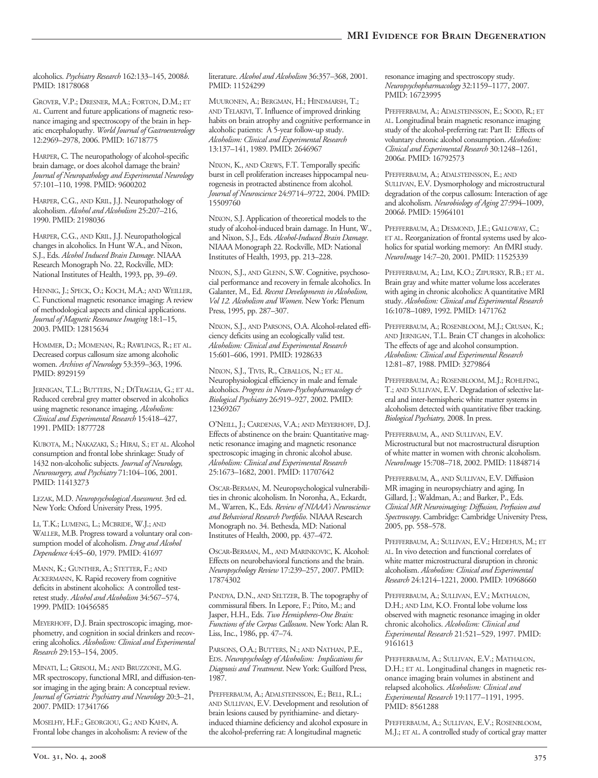alcoholics. *Psychiatry Research* 162:133–145, 2008*b*. PMID: 18178068

GROVER, V.P.; DRESNER, M.A.; FORTON, D.M.; ET AL. Current and future applications of magnetic resonance imaging and spectroscopy of the brain in hepatic encephalopathy. *World Journal of Gastroenterology* 12:2969–2978, 2006. PMID: 16718775

HARPER, C. The neuropathology of alcohol-specific brain damage, or does alcohol damage the brain? *Journal of Neuropathology and Experimental Neurology* 57:101–110, 1998. PMID: 9600202

HARPER, C.G., AND KRIL, J.J. Neuropathology of alcoholism. *Alcohol and Alcoholism* 25:207–216, 1990. PMID: 2198036

HARPER, C.G., AND KRIL, J.J. Neuropathological changes in alcoholics. In Hunt W.A., and Nixon, S.J., Eds. *Alcohol Induced Brain Damage*. NIAAA Research Monograph No. 22, Rockville, MD: National Institutes of Health, 1993, pp, 39–69.

HENNIG, J.; SPECK, O.; KOCH, M.A.; AND WEILLER, C. Functional magnetic resonance imaging: A review of methodological aspects and clinical applications. *Journal of Magnetic Resonance Imaging* 18:1–15, 2003. PMID: 12815634

HOMMER, D.; MOMENAN, R.; RAWLINGS, R.; ET AL. Decreased corpus callosum size among alcoholic women. *Archives of Neurology* 53:359–363, 1996. PMID: 8929159

JERNIGAN, T.L.; BUTTERS, N.; DITRAGLIA, G.; ET AL. Reduced cerebral grey matter observed in alcoholics using magnetic resonance imaging. *Alcoholism: Clinical and Experimental Research* 15:418–427, 1991. PMID: 1877728

KUBOTA, M.; NAKAZAKI, S.; HIRAI, S.; ET AL. Alcohol consumption and frontal lobe shrinkage: Study of 1432 non-alcoholic subjects. *Journal of Neurology*, *Neurosurgery, and Psychiatry* 71:104–106, 2001. PMID: 11413273

LEZAK, M.D. *Neuropsychological Assessment*. 3rd ed. New York: Oxford University Press, 1995.

LI, T.K.; LUMENG, L.; MCBRIDE, W.J.; AND WALLER, M.B. Progress toward a voluntary oral consumption model of alcoholism. *Drug and Alcohol Dependence* 4:45–60, 1979. PMID: 41697

MANN, K.; GUNTHER, A.; STETTER, F.; AND ACKERMANN, K. Rapid recovery from cognitive deficits in abstinent alcoholics: A controlled testretest study. *Alcohol and Alcoholism* 34:567–574, 1999. PMID: 10456585

MEYERHOFF, D.J. Brain spectroscopic imaging, morphometry, and cognition in social drinkers and recovering alcoholics. *Alcoholism: Clinical and Experimental Research* 29:153–154, 2005.

MINATI, L.; GRISOLI, M.; AND BRUZZONE, M.G. MR spectroscopy, functional MRI, and diffusion-tensor imaging in the aging brain: A conceptual review. *Journal of Geriatric Psychiatry and Neurology* 20:3–21, 2007. PMID: 17341766

MOSELHY, H.F.; GEORGIOU, G.; AND KAHN, A. Frontal lobe changes in alcoholism: A review of the literature. *Alcohol and Alcoholism* 36:357–368, 2001. PMID: 11524299

MUURONEN, A.; BERGMAN, H.; HINDMARSH, T.; AND TELAKIVI, T. Influence of improved drinking habits on brain atrophy and cognitive performance in alcoholic patients: A 5-year follow-up study. *Alcoholism: Clinical and Experimental Research* 13:137–141, 1989. PMID: 2646967

NIXON, K., AND CREWS, F.T. Temporally specific burst in cell proliferation increases hippocampal neurogenesis in protracted abstinence from alcohol. *Journal of Neuroscience* 24:9714–9722, 2004. PMID: 15509760

NIXON, S.J. Application of theoretical models to the study of alcohol-induced brain damage. In Hunt, W., and Nixon, S.J., Eds. *Alcohol-Induced Brain Damage*. NIAAA Monograph 22. Rockville, MD: National Institutes of Health, 1993, pp. 213–228.

NIXON, S.J., AND GLENN, S.W. Cognitive, psychosocial performance and recovery in female alcoholics. In Galanter, M., Ed. *Recent Developments in Alcoholism, Vol 12. Alcoholism and Women*. New York: Plenum Press, 1995, pp. 287–307.

NIXON, S.J., AND PARSONS, O.A. Alcohol-related efficiency deficits using an ecologically valid test. *Alcoholism: Clinical and Experimental Research* 15:601–606, 1991. PMID: 1928633

NIXON, S.J., TIVIS, R., CEBALLOS, N.; ET AL. Neurophysiological efficiency in male and female alcoholics. *Progress in NeuroPsychopharmacology & Biological Psychiatry* 26:919–927, 2002. PMID: 12369267

O'NEILL, J.; CARDENAS, V.A.; AND MEYERHOFF, D.J. Effects of abstinence on the brain: Quantitative magnetic resonance imaging and magnetic resonance spectroscopic imaging in chronic alcohol abuse. *Alcoholism: Clinical and Experimental Research* 25:1673–1682, 2001. PMID: 11707642

OSCAR-BERMAN, M. Neuropsychological vulnerabilities in chronic alcoholism. In Noronha, A., Eckardt, M., Warren, K., Eds. *Review of NIAAA's Neuroscience and Behavioral Research Portfolio*. NIAAA Research Monograph no. 34. Bethesda, MD: National Institutes of Health, 2000, pp. 437–472.

OSCAR-BERMAN, M., AND MARINKOVIC, K. Alcohol: Effects on neurobehavioral functions and the brain. *Neuropsychology Review* 17:239–257, 2007. PMID: 17874302

PANDYA, D.N., AND SELTZER, B. The topography of commissural fibers. In Lepore, F.; Ptito, M.; and Jasper, H.H., Eds. Two Hemispheres-One Brain: *Functions of the Corpus Callosum*. New York: Alan R. Liss, Inc., 1986, pp. 47–74.

PARSONS, O.A.; BUTTERS, N.; AND NATHAN, P.E., EDS. *Neuropsychology of Alcoholism: Implications for Diagnosis and Treatment*. New York: Guilford Press, 1987.

PFEFFERBAUM, A.; ADALSTEINSSON, E.; BELL, R.L.; AND SULLIVAN, E.V. Development and resolution of brain lesions caused by pyrithiamine and dietaryinduced thiamine deficiency and alcohol exposure in the alcohol-preferring rat: A longitudinal magnetic

resonance imaging and spectroscopy study. *Neuropsychopharmacology* 32:1159–1177, 2007. PMID: 16723995

PFEFFERBAUM, A.; ADALSTEINSSON, E.; SOOD, R.; ET AL. Longitudinal brain magnetic resonance imaging study of the alcohol-preferring rat: Part II: Effects of voluntary chronic alcohol consumption. *Alcoholism: Clinical and Experimental Research* 30:1248–1261, 2006*a*. PMID: 16792573

PFEFFERBAUM, A.; ADALSTEINSSON, E.; AND SULLIVAN, E.V. Dysmorphology and microstructural degradation of the corpus callosum: Interaction of age and alcoholism. *Neurobiology of Aging* 27:994–1009, 2006*b*. PMID: 15964101

PFEFFERBAUM, A.; DESMOND, J.E.; GALLOWAY, C.; ET AL. Reorganization of frontal systems used by alcoholics for spatial working memory: An fMRI study. *NeuroImage* 14:7–20, 2001. PMID: 11525339

PFEFFERBAUM, A.; LIM, K.O.; ZIPURSKY, R.B.; ET AL. Brain gray and white matter volume loss accelerates with aging in chronic alcoholics: A quantitative MRI study. *Alcoholism: Clinical and Experimental Research* 16:1078–1089, 1992. PMID: 1471762

PFEFFERBAUM, A.; ROSENBLOOM, M.J.; CRUSAN, K.; AND JERNIGAN, T.L. Brain CT changes in alcoholics: The effects of age and alcohol consumption. *Alcoholism: Clinical and Experimental Research* 12:81–87, 1988. PMID: 3279864

PFEFFERBAUM, A.; ROSENBLOOM, M.J.; ROHLFING, T.; AND SULLIVAN, E.V. Degradation of selective lateral and inter-hemispheric white matter systems in alcoholism detected with quantitative fiber tracking. *Biological Psychiatry,* 2008. In press.

PFEFFERBAUM, A., AND SULLIVAN, E.V. Microstructural but not macrostructural disruption of white matter in women with chronic alcoholism. *NeuroImage* 15:708–718, 2002. PMID: 11848714

PFEFFERBAUM, A., AND SULLIVAN, E.V. Diffusion MR imaging in neuropsychiatry and aging. In Gillard, J.; Waldman, A.; and Barker, P., Eds. *Clinical MR Neuroimaging: Diffusion, Perfusion and Spectroscopy*. Cambridge: Cambridge University Press, 2005, pp. 558–578.

PFEFFERBAUM, A.; SULLIVAN, E.V.; HEDEHUS, M.; ET AL. In vivo detection and functional correlates of white matter microstructural disruption in chronic alcoholism. *Alcoholism: Clinical and Experimental Research* 24:1214–1221, 2000. PMID: 10968660

PFEFFERBAUM, A.; SULLIVAN, E.V.; MATHALON, D.H.; AND LIM, K.O. Frontal lobe volume loss observed with magnetic resonance imaging in older chronic alcoholics. *Alcoholism: Clinical and Experimental Research* 21:521–529, 1997. PMID: 9161613

PFEFFERBAUM, A.; SULLIVAN, E.V.; MATHALON, D.H.; ET AL. Longitudinal changes in magnetic resonance imaging brain volumes in abstinent and relapsed alcoholics. *Alcoholism: Clinical and Experimental Research* 19:1177–1191, 1995. PMID: 8561288

PFEFFERBAUM, A.; SULLIVAN, E.V.; ROSENBLOOM, M.J.; ET AL. A controlled study of cortical gray matter